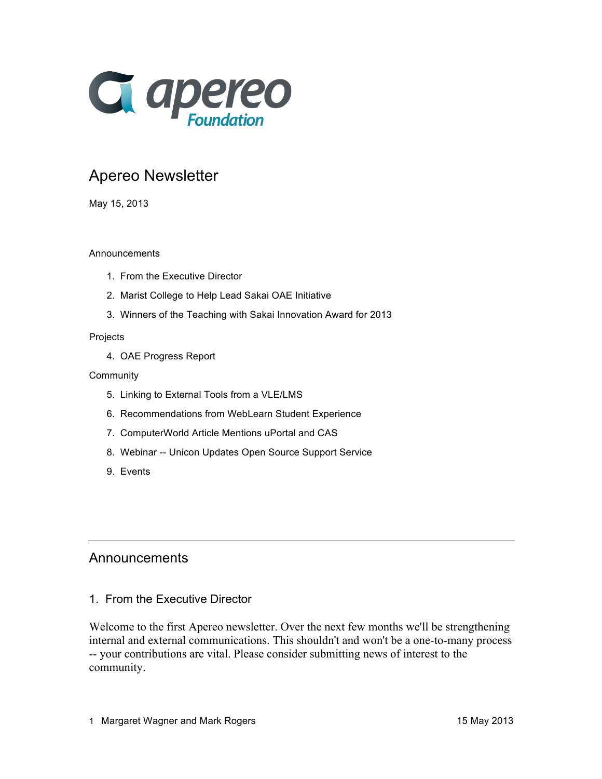

# Apereo Newsletter

May 15, 2013

### Announcements

- 1. From the Executive Director
- 2. Marist College to Help Lead Sakai OAE Initiative
- 3. Winners of the Teaching with Sakai Innovation Award for 2013

#### Projects

4. OAE Progress Report

#### Community

- 5. Linking to External Tools from a VLE/LMS
- 6. Recommendations from WebLearn Student Experience
- 7. ComputerWorld Article Mentions uPortal and CAS
- 8. Webinar -- Unicon Updates Open Source Support Service
- 9. Events

## Announcements

1. From the Executive Director

Welcome to the first Apereo newsletter. Over the next few months we'll be strengthening internal and external communications. This shouldn't and won't be a one-to-many process -- your contributions are vital. Please consider submitting news of interest to the community.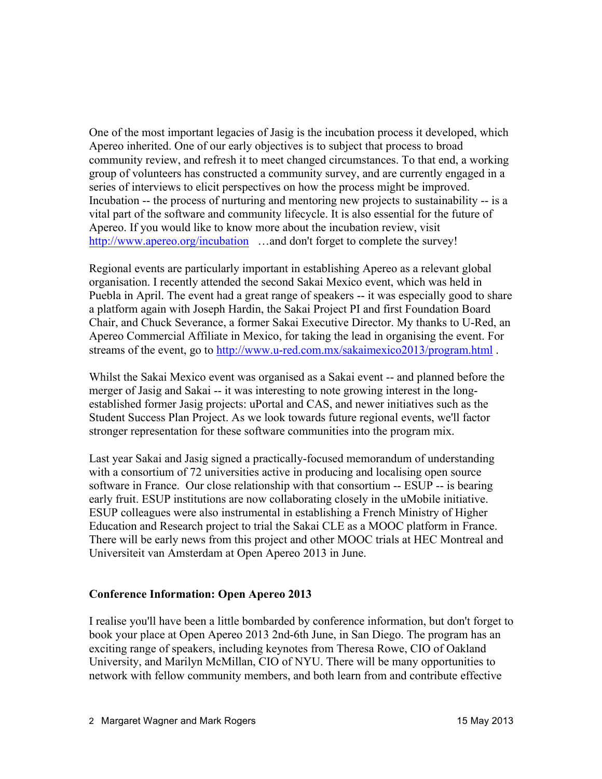One of the most important legacies of Jasig is the incubation process it developed, which Apereo inherited. One of our early objectives is to subject that process to broad community review, and refresh it to meet changed circumstances. To that end, a working group of volunteers has constructed a community survey, and are currently engaged in a series of interviews to elicit perspectives on how the process might be improved. Incubation -- the process of nurturing and mentoring new projects to sustainability -- is a vital part of the software and community lifecycle. It is also essential for the future of Apereo. If you would like to know more about the incubation review, visit http://www.apereo.org/incubation ...and don't forget to complete the survey!

Regional events are particularly important in establishing Apereo as a relevant global organisation. I recently attended the second Sakai Mexico event, which was held in Puebla in April. The event had a great range of speakers -- it was especially good to share a platform again with Joseph Hardin, the Sakai Project PI and first Foundation Board Chair, and Chuck Severance, a former Sakai Executive Director. My thanks to U-Red, an Apereo Commercial Affiliate in Mexico, for taking the lead in organising the event. For streams of the event, go to http://www.u-red.com.mx/sakaimexico2013/program.html.

Whilst the Sakai Mexico event was organised as a Sakai event -- and planned before the merger of Jasig and Sakai -- it was interesting to note growing interest in the longestablished former Jasig projects: uPortal and CAS, and newer initiatives such as the Student Success Plan Project. As we look towards future regional events, we'll factor stronger representation for these software communities into the program mix.

Last year Sakai and Jasig signed a practically-focused memorandum of understanding with a consortium of 72 universities active in producing and localising open source software in France. Our close relationship with that consortium -- ESUP -- is bearing early fruit. ESUP institutions are now collaborating closely in the uMobile initiative. ESUP colleagues were also instrumental in establishing a French Ministry of Higher Education and Research project to trial the Sakai CLE as a MOOC platform in France. There will be early news from this project and other MOOC trials at HEC Montreal and Universiteit van Amsterdam at Open Apereo 2013 in June.

### **Conference Information: Open Apereo 2013**

I realise you'll have been a little bombarded by conference information, but don't forget to book your place at Open Apereo 2013 2nd-6th June, in San Diego. The program has an exciting range of speakers, including keynotes from Theresa Rowe, CIO of Oakland University, and Marilyn McMillan, CIO of NYU. There will be many opportunities to network with fellow community members, and both learn from and contribute effective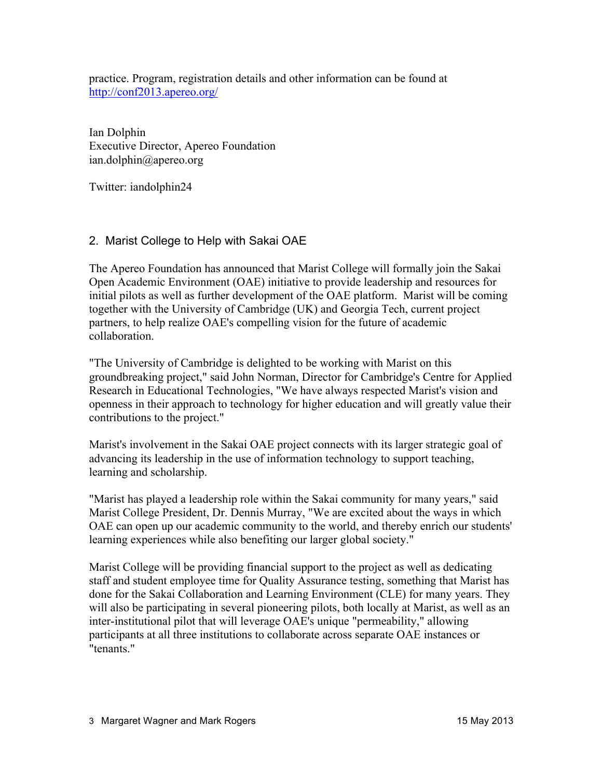practice. Program, registration details and other information can be found at http://conf2013.apereo.org/

Ian Dolphin Executive Director, Apereo Foundation ian.dolphin@apereo.org

Twitter: iandolphin24

### 2. Marist College to Help with Sakai OAE

The Apereo Foundation has announced that Marist College will formally join the Sakai Open Academic Environment (OAE) initiative to provide leadership and resources for initial pilots as well as further development of the OAE platform. Marist will be coming together with the University of Cambridge (UK) and Georgia Tech, current project partners, to help realize OAE's compelling vision for the future of academic collaboration.

"The University of Cambridge is delighted to be working with Marist on this groundbreaking project," said John Norman, Director for Cambridge's Centre for Applied Research in Educational Technologies, "We have always respected Marist's vision and openness in their approach to technology for higher education and will greatly value their contributions to the project."

Marist's involvement in the Sakai OAE project connects with its larger strategic goal of advancing its leadership in the use of information technology to support teaching, learning and scholarship.

"Marist has played a leadership role within the Sakai community for many years," said Marist College President, Dr. Dennis Murray, "We are excited about the ways in which OAE can open up our academic community to the world, and thereby enrich our students' learning experiences while also benefiting our larger global society."

Marist College will be providing financial support to the project as well as dedicating staff and student employee time for Quality Assurance testing, something that Marist has done for the Sakai Collaboration and Learning Environment (CLE) for many years. They will also be participating in several pioneering pilots, both locally at Marist, as well as an inter-institutional pilot that will leverage OAE's unique "permeability," allowing participants at all three institutions to collaborate across separate OAE instances or "tenants."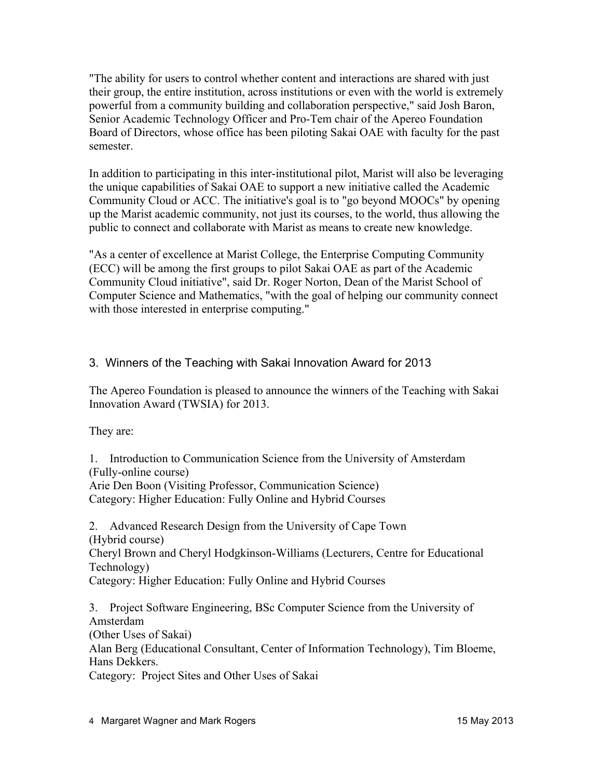"The ability for users to control whether content and interactions are shared with just their group, the entire institution, across institutions or even with the world is extremely powerful from a community building and collaboration perspective," said Josh Baron, Senior Academic Technology Officer and Pro-Tem chair of the Apereo Foundation Board of Directors, whose office has been piloting Sakai OAE with faculty for the past semester.

In addition to participating in this inter-institutional pilot, Marist will also be leveraging the unique capabilities of Sakai OAE to support a new initiative called the Academic Community Cloud or ACC. The initiative's goal is to "go beyond MOOCs" by opening up the Marist academic community, not just its courses, to the world, thus allowing the public to connect and collaborate with Marist as means to create new knowledge.

"As a center of excellence at Marist College, the Enterprise Computing Community (ECC) will be among the first groups to pilot Sakai OAE as part of the Academic Community Cloud initiative", said Dr. Roger Norton, Dean of the Marist School of Computer Science and Mathematics, "with the goal of helping our community connect with those interested in enterprise computing."

## 3. Winners of the Teaching with Sakai Innovation Award for 2013

The Apereo Foundation is pleased to announce the winners of the Teaching with Sakai Innovation Award (TWSIA) for 2013.

They are:

1. Introduction to Communication Science from the University of Amsterdam (Fully-online course)

Arie Den Boon (Visiting Professor, Communication Science) Category: Higher Education: Fully Online and Hybrid Courses

2. Advanced Research Design from the University of Cape Town (Hybrid course)

Cheryl Brown and Cheryl Hodgkinson-Williams (Lecturers, Centre for Educational Technology)

Category: Higher Education: Fully Online and Hybrid Courses

3. Project Software Engineering, BSc Computer Science from the University of Amsterdam

(Other Uses of Sakai)

Alan Berg (Educational Consultant, Center of Information Technology), Tim Bloeme, Hans Dekkers.

Category: Project Sites and Other Uses of Sakai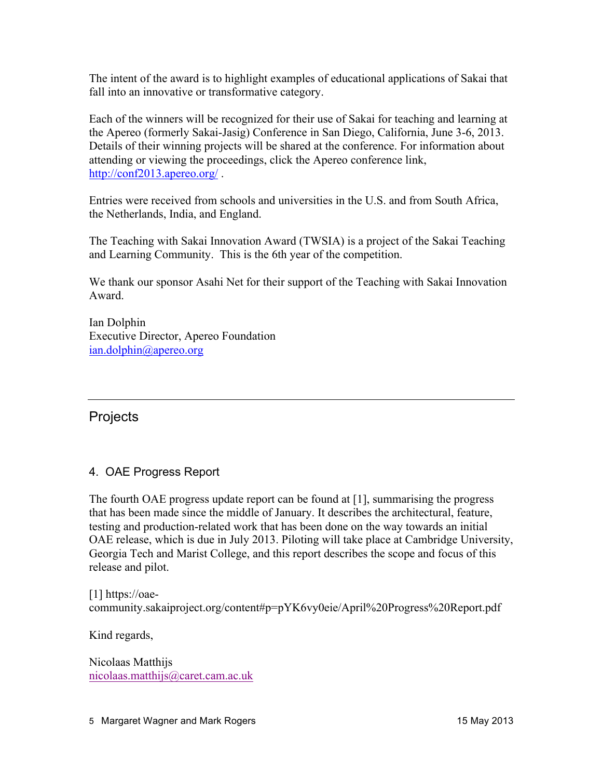The intent of the award is to highlight examples of educational applications of Sakai that fall into an innovative or transformative category.

Each of the winners will be recognized for their use of Sakai for teaching and learning at the Apereo (formerly Sakai-Jasig) Conference in San Diego, California, June 3-6, 2013. Details of their winning projects will be shared at the conference. For information about attending or viewing the proceedings, click the Apereo conference link, http://conf2013.apereo.org/ .

Entries were received from schools and universities in the U.S. and from South Africa, the Netherlands, India, and England.

The Teaching with Sakai Innovation Award (TWSIA) is a project of the Sakai Teaching and Learning Community. This is the 6th year of the competition.

We thank our sponsor Asahi Net for their support of the Teaching with Sakai Innovation Award.

Ian Dolphin Executive Director, Apereo Foundation ian.dolphin@apereo.org

## **Projects**

## 4. OAE Progress Report

The fourth OAE progress update report can be found at [1], summarising the progress that has been made since the middle of January. It describes the architectural, feature, testing and production-related work that has been done on the way towards an initial OAE release, which is due in July 2013. Piloting will take place at Cambridge University, Georgia Tech and Marist College, and this report describes the scope and focus of this release and pilot.

[1] https://oaecommunity.sakaiproject.org/content#p=pYK6vy0eie/April%20Progress%20Report.pdf

Kind regards,

Nicolaas Matthijs nicolaas.matthijs@caret.cam.ac.uk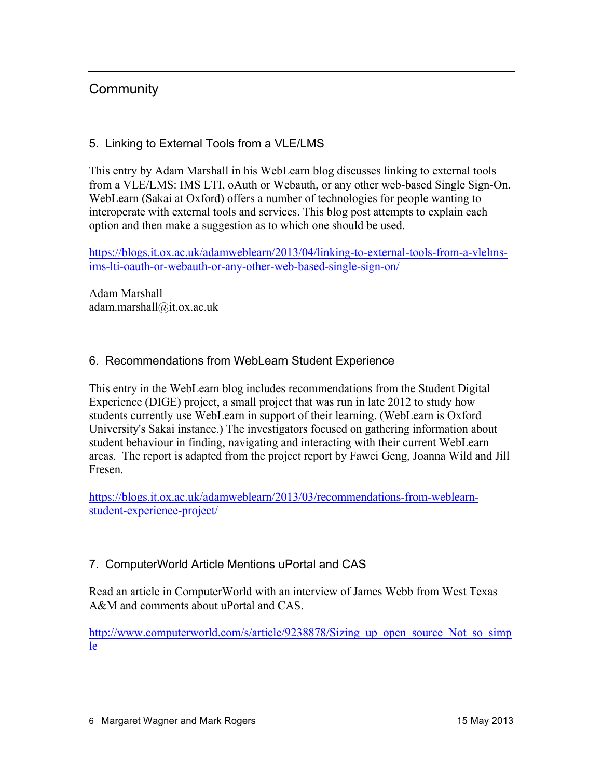## **Community**

## 5. Linking to External Tools from a VLE/LMS

This entry by Adam Marshall in his WebLearn blog discusses linking to external tools from a VLE/LMS: IMS LTI, oAuth or Webauth, or any other web-based Single Sign-On. WebLearn (Sakai at Oxford) offers a number of technologies for people wanting to interoperate with external tools and services. This blog post attempts to explain each option and then make a suggestion as to which one should be used.

https://blogs.it.ox.ac.uk/adamweblearn/2013/04/linking-to-external-tools-from-a-vlelmsims-lti-oauth-or-webauth-or-any-other-web-based-single-sign-on/

Adam Marshall adam.marshall@it.ox.ac.uk

## 6. Recommendations from WebLearn Student Experience

This entry in the WebLearn blog includes recommendations from the Student Digital Experience (DIGE) project, a small project that was run in late 2012 to study how students currently use WebLearn in support of their learning. (WebLearn is Oxford University's Sakai instance.) The investigators focused on gathering information about student behaviour in finding, navigating and interacting with their current WebLearn areas. The report is adapted from the project report by Fawei Geng, Joanna Wild and Jill Fresen.

https://blogs.it.ox.ac.uk/adamweblearn/2013/03/recommendations-from-weblearnstudent-experience-project/

## 7. ComputerWorld Article Mentions uPortal and CAS

Read an article in ComputerWorld with an interview of James Webb from West Texas A&M and comments about uPortal and CAS.

http://www.computerworld.com/s/article/9238878/Sizing\_up\_open\_source\_Not\_so\_simp\_ le